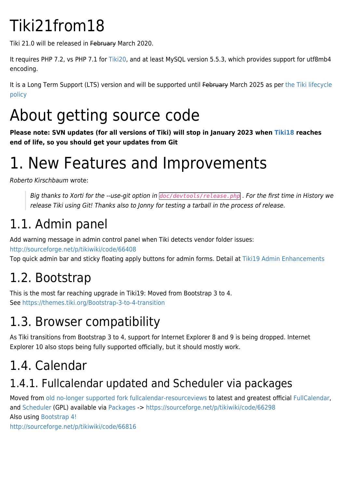# Tiki21from18

Tiki 21.0 will be released in February March 2020.

It requires PHP 7.2, vs PHP 7.1 for [Tiki20,](https://doc.tiki.org/Tiki20) and at least MySQL version 5.5.3, which provides support for utf8mb4 encoding.

It is a Long Term Support (LTS) version and will be supported until February March 2025 as per [the Tiki lifecycle](http://tiki.org/Versions) [policy](http://tiki.org/Versions)

# About getting source code

**Please note: SVN updates (for all versions of Tiki) will stop in January 2023 when [Tiki18](https://doc.tiki.org/Tiki18) reaches end of life, so you should get your updates from Git**

## 1. New Features and Improvements

Roberto Kirschbaum wrote:

Big thanks to Xorti for the --use-git option in *doc/devtools/release.php* . For the first time in History we release Tiki using Git! Thanks also to Jonny for testing a tarball in the process of release.

## 1.1. Admin panel

Add warning message in admin control panel when Tiki detects vendor folder issues:

<http://sourceforge.net/p/tikiwiki/code/66408>

Top quick admin bar and sticky floating apply buttons for admin forms. Detail at [Tiki19 Admin Enhancements](https://doc.tiki.org/Tiki19-Admin-Enhancements)

## 1.2. Bootstrap

This is the most far reaching upgrade in Tiki19: Moved from Bootstrap 3 to 4. See <https://themes.tiki.org/Bootstrap-3-to-4-transition>

## 1.3. Browser compatibility

As Tiki transitions from Bootstrap 3 to 4, support for Internet Explorer 8 and 9 is being dropped. Internet Explorer 10 also stops being fully supported officially, but it should mostly work.

## 1.4. Calendar

## 1.4.1. Fullcalendar updated and Scheduler via packages

Moved from [old no-longer supported fork fullcalendar-resourceviews](https://sourceforge.net/p/tikiwiki/code/66296/tree/trunk/vendor_extra/fullcalendar-resourceviews/changelog.txt) to latest and greatest official [FullCalendar,](https://fullcalendar.io) and [Scheduler](https://fullcalendar.io/scheduler) (GPL) available via [Packages](https://doc.tiki.org/Packages) -><https://sourceforge.net/p/tikiwiki/code/66298> Also using [Bootstrap 4!](https://fullcalendar.io/blog/2018/03/bootstrap-4-support)

<http://sourceforge.net/p/tikiwiki/code/66816>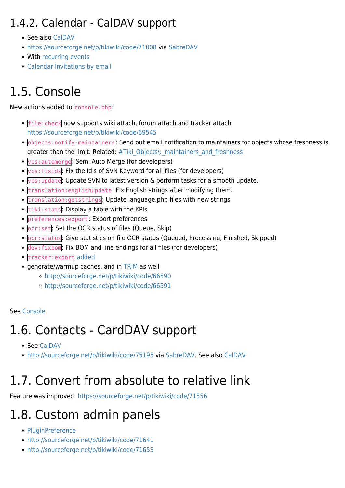#### 1.4.2. Calendar - CalDAV support

- See also [CalDAV](http://dev.tiki.org/CalDAV)
- <https://sourceforge.net/p/tikiwiki/code/71008> via [SabreDAV](http://dev.tiki.org/SabreDAV)
- With [recurring events](https://sourceforge.net/p/tikiwiki/code/71622/)
- [Calendar Invitations by email](https://doc.tiki.org/Calendar-Invitations-by-email)

## 1.5. Console

New actions added to console.php:

- file: check now supports wiki attach, forum attach and tracker attach <https://sourceforge.net/p/tikiwiki/code/69545>
- objects:notify-maintainers: Send out email notification to maintainers for objects whose freshness is greater than the limit. Related: #Tiki Objects\: maintainers and freshness
- vcs:automerge: Semi Auto Merge (for developers)
- vcs:fixids: Fix the Id's of SVN Keyword for all files (for developers)
- vcs:update: Update SVN to latest version & perform tasks for a smooth update.
- **translation: englishupdate**: Fix English strings after modifying them.
- translation:getstrings: Update language.php files with new strings
- tiki: stats: Display a table with the KPIs
- preferences:export: Export preferences
- ocr:set: Set the OCR status of files (Queue, Skip)
- ocr:status: Give statistics on file OCR status (Queued, Processing, Finished, Skipped)
- dev:fixbom: Fix BOM and line endings for all files (for developers)
- tracker:export [added](http://sourceforge.net/p/tikiwiki/code/69335)
- generate/warmup caches, and in [TRIM](https://doc.tiki.org/TRIM) as well
	- <http://sourceforge.net/p/tikiwiki/code/66590>
	- <http://sourceforge.net/p/tikiwiki/code/66591>

#### See [Console](https://doc.tiki.org/Console)

## 1.6. Contacts - CardDAV support

- See [CalDAV](https://doc.tiki.org/CalDAV)
- <http://sourceforge.net/p/tikiwiki/code/75195> via [SabreDAV](http://dev.tiki.org/SabreDAV). See also [CalDAV](http://dev.tiki.org/CalDAV)

## 1.7. Convert from absolute to relative link

Feature was improved:<https://sourceforge.net/p/tikiwiki/code/71556>

## 1.8. Custom admin panels

- [PluginPreference](https://doc.tiki.org/PluginPreference)
- <http://sourceforge.net/p/tikiwiki/code/71641>
- <http://sourceforge.net/p/tikiwiki/code/71653>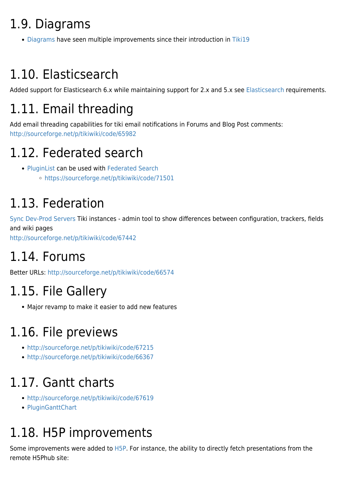## 1.9. Diagrams

• [Diagrams](https://doc.tiki.org/Diagrams) have seen multiple improvements since their introduction in [Tiki19](https://doc.tiki.org/Tiki19)

## 1.10. Elasticsearch

Added support for [Elasticsearch](https://doc.tiki.org/Elasticsearch) 6.x while maintaining support for 2.x and 5.x see Elasticsearch requirements.

## 1.11. Email threading

Add email threading capabilities for tiki email notifications in Forums and Blog Post comments: <http://sourceforge.net/p/tikiwiki/code/65982>

## 1.12. Federated search

- [PluginList](https://doc.tiki.org/PluginList) can be used with [Federated Search](https://doc.tiki.org/Federated-Search)
	- <https://sourceforge.net/p/tikiwiki/code/71501>

## 1.13. Federation

[Sync Dev-Prod Servers](https://doc.tiki.org/Sync-Dev-Prod-Servers) Tiki instances - admin tool to show differences between configuration, trackers, fields and wiki pages

<http://sourceforge.net/p/tikiwiki/code/67442>

## 1.14. Forums

Better URLs:<http://sourceforge.net/p/tikiwiki/code/66574>

## 1.15. File Gallery

Major revamp to make it easier to add new features

## 1.16. File previews

- <http://sourceforge.net/p/tikiwiki/code/67215>
- <http://sourceforge.net/p/tikiwiki/code/66367>

## 1.17. Gantt charts

- <http://sourceforge.net/p/tikiwiki/code/67619>
- [PluginGanttChart](https://doc.tiki.org/PluginGanttChart)

## 1.18. H5P improvements

Some improvements were added to [H5P.](https://doc.tiki.org/H5P) For instance, the ability to directly fetch presentations from the remote H5Phub site: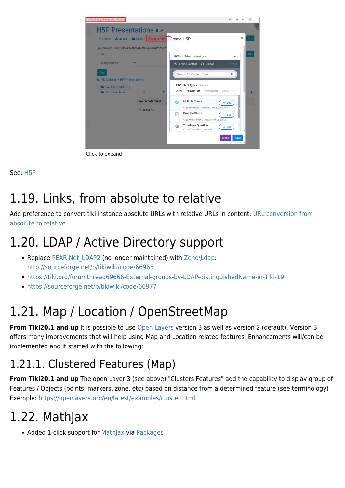

Click to expand

#### See: [H5P](https://doc.tiki.org/H5P)

## 1.19. Links, from absolute to relative

Add preference to convert tiki instance absolute URLs with relative URLs in content: [URL conversion from](https://doc.tiki.org/URL-conversion-from-absolute-to-relative) [absolute to relative](https://doc.tiki.org/URL-conversion-from-absolute-to-relative)

## 1.20. LDAP / Active Directory support

- Replace PEAR Net LDAP2 (no longer maintained) with [Zend\Ldap:](https://github.com/zendframework/zend-ldap) <http://sourceforge.net/p/tikiwiki/code/66965>
- <https://tiki.org/forumthread69666-External-groups-by-LDAP-distinguishedName-in-Tiki-19>
- <https://sourceforge.net/p/tikiwiki/code/66977>

## 1.21. Map / Location / OpenStreetMap

**From Tiki20.1 and up** It is possible to use [Open Layers](https://openlayers.org) version 3 as well as version 2 (default). Version 3 offers many improvements that will help using Map and Location related features. Enhancements will/can be implemented and it started with the following:

### 1.21.1. Clustered Features (Map)

**From Tiki20.1 and up** The open Layer 3 (see above) "Clusters Features" add the capability to display group of Features / Objects (points, markers, zone, etc) based on distance from a determined feature (see terminology) Exemple: <https://openlayers.org/en/latest/examples/cluster.html>

## 1.22. MathJax

• Added 1-click support for [MathJax](https://doc.tiki.org/MathJax) via [Packages](https://doc.tiki.org/Packages)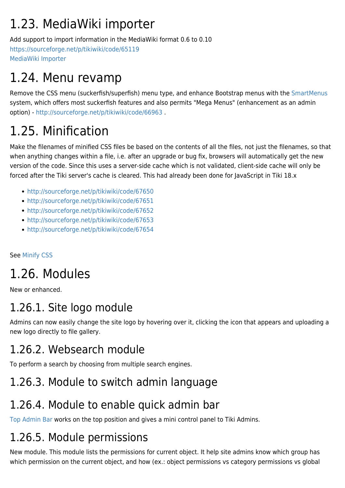## 1.23. MediaWiki importer

Add support to import information in the MediaWiki format 0.6 to 0.10 <https://sourceforge.net/p/tikiwiki/code/65119> [MediaWiki Importer](https://doc.tiki.org/MediaWiki-Importer)

## 1.24. Menu revamp

Remove the CSS menu (suckerfish/superfish) menu type, and enhance Bootstrap menus with the [SmartMenus](https://www.smartmenus.org) system, which offers most suckerfish features and also permits "Mega Menus" (enhancement as an admin option) -<http://sourceforge.net/p/tikiwiki/code/66963> .

## 1.25. Minification

Make the filenames of minified CSS files be based on the contents of all the files, not just the filenames, so that when anything changes within a file, i.e. after an upgrade or bug fix, browsers will automatically get the new version of the code. Since this uses a server-side cache which is not validated, client-side cache will only be forced after the Tiki server's cache is cleared. This had already been done for JavaScript in Tiki 18.x

- <http://sourceforge.net/p/tikiwiki/code/67650>
- <http://sourceforge.net/p/tikiwiki/code/67651>
- <http://sourceforge.net/p/tikiwiki/code/67652>
- <http://sourceforge.net/p/tikiwiki/code/67653>
- <http://sourceforge.net/p/tikiwiki/code/67654>

See [Minify CSS](https://doc.tiki.org/Minify-CSS)

## 1.26. Modules

New or enhanced.

#### 1.26.1. Site logo module

Admins can now easily change the site logo by hovering over it, clicking the icon that appears and uploading a new logo directly to file gallery.

### 1.26.2. Websearch module

To perform a search by choosing from multiple search engines.

#### 1.26.3. Module to switch admin language

### 1.26.4. Module to enable quick admin bar

[Top Admin Bar](https://doc.tiki.org/Top-Admin-Bar) works on the top position and gives a mini control panel to Tiki Admins.

#### 1.26.5. Module permissions

New module. This module lists the permissions for current object. It help site admins know which group has which permission on the current object, and how (ex.: object permissions vs category permissions vs global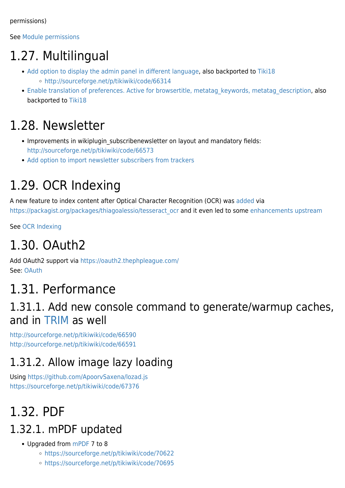permissions)

See [Module permissions](https://doc.tiki.org/Module-permissions)

## 1.27. Multilingual

- [Add option to display the admin panel in different language](https://sourceforge.net/p/tikiwiki/code/66270), also backported to [Tiki18](https://doc.tiki.org/Tiki18) <http://sourceforge.net/p/tikiwiki/code/66314>
- Enable translation of preferences. Active for browsertitle, metatag keywords, metatag description, also backported to [Tiki18](https://doc.tiki.org/Tiki18)

## 1.28. Newsletter

- Improvements in wikiplugin subscribenewsletter on layout and mandatory fields: <http://sourceforge.net/p/tikiwiki/code/66573>
- [Add option to import newsletter subscribers from trackers](https://sourceforge.net/p/tikiwiki/code/68244)

## 1.29. OCR Indexing

A new feature to index content after Optical Character Recognition (OCR) was [added](https://sourceforge.net/p/tikiwiki/code/68295) via https://packagist.org/packages/thiagoalessio/tesseract ocr and it even led to some [enhancements upstream](https://github.com/thiagoalessio/tesseract-ocr-for-php/commits?author=drsassafras)

See [OCR Indexing](https://doc.tiki.org/OCR-Indexing)

## 1.30. OAuth2

Add OAuth2 support via <https://oauth2.thephpleague.com/> See: [OAuth](https://doc.tiki.org/OAuth)

## 1.31. Performance

#### 1.31.1. Add new console command to generate/warmup caches, and in [TRIM](https://doc.tiki.org/TRIM) as well

<http://sourceforge.net/p/tikiwiki/code/66590> <http://sourceforge.net/p/tikiwiki/code/66591>

## 1.31.2. Allow image lazy loading

Using <https://github.com/ApoorvSaxena/lozad.js> <https://sourceforge.net/p/tikiwiki/code/67376>

## 1.32. PDF

#### 1.32.1. mPDF updated

- Upgraded from [mPDF](https://doc.tiki.org/mPDF) 7 to 8
	- <https://sourceforge.net/p/tikiwiki/code/70622>
	- <https://sourceforge.net/p/tikiwiki/code/70695>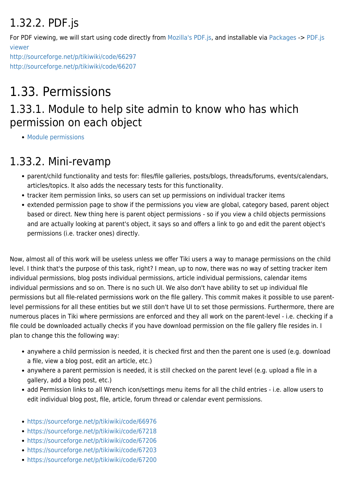## 1.32.2. PDF.js

For PDF viewing, we will start using code directly from [Mozilla's PDF.js,](https://github.com/mozilla/pdfjs-dist) and installable via [Packages](https://doc.tiki.org/Packages) -> [PDF.js](https://doc.tiki.org/PDF.js-viewer) [viewer](https://doc.tiki.org/PDF.js-viewer)

<http://sourceforge.net/p/tikiwiki/code/66297> <http://sourceforge.net/p/tikiwiki/code/66207>

## 1.33. Permissions

#### 1.33.1. Module to help site admin to know who has which permission on each object

• [Module permissions](https://doc.tiki.org/Module-permissions)

### 1.33.2. Mini-revamp

- parent/child functionality and tests for: files/file galleries, posts/blogs, threads/forums, events/calendars, articles/topics. It also adds the necessary tests for this functionality.
- tracker item permission links, so users can set up permissions on individual tracker items
- extended permission page to show if the permissions you view are global, category based, parent object based or direct. New thing here is parent object permissions - so if you view a child objects permissions and are actually looking at parent's object, it says so and offers a link to go and edit the parent object's permissions (i.e. tracker ones) directly.

Now, almost all of this work will be useless unless we offer Tiki users a way to manage permissions on the child level. I think that's the purpose of this task, right? I mean, up to now, there was no way of setting tracker item individual permissions, blog posts individual permissions, article individual permissions, calendar items individual permissions and so on. There is no such UI. We also don't have ability to set up individual file permissions but all file-related permissions work on the file gallery. This commit makes it possible to use parentlevel permissions for all these entities but we still don't have UI to set those permissions. Furthermore, there are numerous places in Tiki where permissions are enforced and they all work on the parent-level - i.e. checking if a file could be downloaded actually checks if you have download permission on the file gallery file resides in. I plan to change this the following way:

- anywhere a child permission is needed, it is checked first and then the parent one is used (e.g. download a file, view a blog post, edit an article, etc.)
- anywhere a parent permission is needed, it is still checked on the parent level (e.g. upload a file in a gallery, add a blog post, etc.)
- add Permission links to all Wrench icon/settings menu items for all the child entries i.e. allow users to edit individual blog post, file, article, forum thread or calendar event permissions.
- <https://sourceforge.net/p/tikiwiki/code/66976>
- <https://sourceforge.net/p/tikiwiki/code/67218>
- <https://sourceforge.net/p/tikiwiki/code/67206>
- <https://sourceforge.net/p/tikiwiki/code/67203>
- <https://sourceforge.net/p/tikiwiki/code/67200>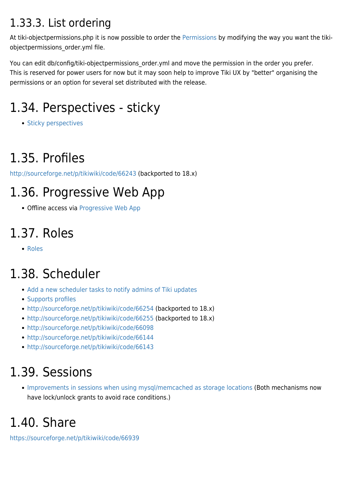#### 1.33.3. List ordering

At tiki-objectpermissions.php it is now possible to order the [Permissions](https://doc.tiki.org/Permissions) by modifying the way you want the tikiobjectpermissions\_order.yml file.

You can edit db/config/tiki-objectpermissions\_order.yml and move the permission in the order you prefer. This is reserved for power users for now but it may soon help to improve Tiki UX by "better" organising the permissions or an option for several set distributed with the release.

## 1.34. Perspectives - sticky

• [Sticky perspectives](https://sourceforge.net/p/tikiwiki/code/68989)

## 1.35. Profiles

<http://sourceforge.net/p/tikiwiki/code/66243> (backported to 18.x)

## 1.36. Progressive Web App

Offline access via [Progressive Web App](https://doc.tiki.org/Progressive-Web-App)

## 1.37. Roles

[Roles](https://doc.tiki.org/Roles)

## 1.38. Scheduler

- [Add a new scheduler tasks to notify admins of Tiki updates](https://sourceforge.net/p/tikiwiki/code/65787)
- [Supports profiles](https://profiles.tiki.org/Scheduler_Presets)
- <http://sourceforge.net/p/tikiwiki/code/66254> (backported to 18.x)
- <http://sourceforge.net/p/tikiwiki/code/66255> (backported to 18.x)
- <http://sourceforge.net/p/tikiwiki/code/66098>
- <http://sourceforge.net/p/tikiwiki/code/66144>
- <http://sourceforge.net/p/tikiwiki/code/66143>

## 1.39. Sessions

[Improvements in sessions when using mysql/memcached as storage locations](https://sourceforge.net/p/tikiwiki/code/71475) (Both mechanisms now have lock/unlock grants to avoid race conditions.)

## 1.40. Share

<https://sourceforge.net/p/tikiwiki/code/66939>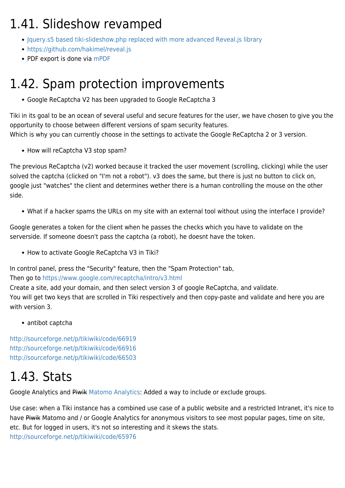## 1.41. Slideshow revamped

- [Jquery.s5 based tiki-slideshow.php replaced with more advanced Reveal.js library](http://sourceforge.net/p/tikiwiki/code/66805)
- <https://github.com/hakimel/reveal.js>
- PDF export is done via [mPDF](https://doc.tiki.org/mPDF)

## 1.42. Spam protection improvements

Google ReCaptcha V2 has been upgraded to Google ReCaptcha 3

Tiki in its goal to be an ocean of several useful and secure features for the user, we have chosen to give you the opportunity to choose between different versions of spam security features. Which is why you can currently choose in the settings to activate the Google ReCaptcha 2 or 3 version.

• How will reCaptcha V3 stop spam?

The previous ReCaptcha (v2) worked because it tracked the user movement (scrolling, clicking) while the user solved the captcha (clicked on "I'm not a robot"). v3 does the same, but there is just no button to click on, google just "watches" the client and determines wether there is a human controlling the mouse on the other side.

What if a hacker spams the URLs on my site with an external tool without using the interface I provide?

Google generates a token for the client when he passes the checks which you have to validate on the serverside. If someone doesn't pass the captcha (a robot), he doesnt have the token.

• How to activate Google ReCaptcha V3 in Tiki?

In control panel, press the "Security" feature, then the "Spam Protection" tab,

#### Then go to<https://www.google.com/recaptcha/intro/v3.html>

Create a site, add your domain, and then select version 3 of google ReCaptcha, and validate. You will get two keys that are scrolled in Tiki respectively and then copy-paste and validate and here you are with version 3.

antibot captcha

<http://sourceforge.net/p/tikiwiki/code/66919> <http://sourceforge.net/p/tikiwiki/code/66916> <http://sourceforge.net/p/tikiwiki/code/66503>

## 1.43. Stats

Google Analytics and Piwik [Matomo Analytics:](https://matomo.org/) Added a way to include or exclude groups.

Use case: when a Tiki instance has a combined use case of a public website and a restricted Intranet, it's nice to have Piwik Matomo and / or Google Analytics for anonymous visitors to see most popular pages, time on site, etc. But for logged in users, it's not so interesting and it skews the stats. <http://sourceforge.net/p/tikiwiki/code/65976>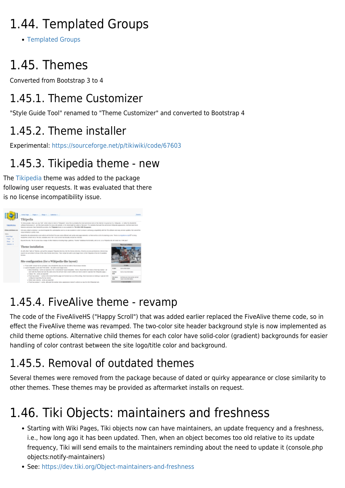## 1.44. Templated Groups

[Templated Groups](https://doc.tiki.org/Templated-Groups)

## 1.45. Themes

Converted from Bootstrap 3 to 4

#### 1.45.1. Theme Customizer

"Style Guide Tool" renamed to "Theme Customizer" and converted to Bootstrap 4

#### 1.45.2. Theme installer

Experimental: <https://sourceforge.net/p/tikiwiki/code/67603>

#### 1.45.3. Tikipedia theme - new

The [Tikipedia](http://demo.zukathemes.com/Tikipedia) theme was added to the package following user requests. It was evaluated that there is no license incompatibility issue.



#### 1.45.4. FiveAlive theme - revamp

The code of the FiveAliveHS ("Happy Scroll") that was added earlier replaced the FiveAlive theme code, so in effect the FiveAlive theme was revamped. The two-color site header background style is now implemented as child theme options. Alternative child themes for each color have solid-color (gradient) backgrounds for easier handling of color contrast between the site logo/title color and background.

## 1.45.5. Removal of outdated themes

Several themes were removed from the package because of dated or quirky appearance or close similarity to other themes. These themes may be provided as aftermarket installs on request.

## 1.46. Tiki Objects: maintainers and freshness

- Starting with Wiki Pages, Tiki objects now can have maintainers, an update frequency and a freshness, i.e., how long ago it has been updated. Then, when an object becomes too old relative to its update frequency, Tiki will send emails to the maintainers reminding about the need to update it (console.php objects:notify-maintainers)
- See:<https://dev.tiki.org/Object-maintainers-and-freshness>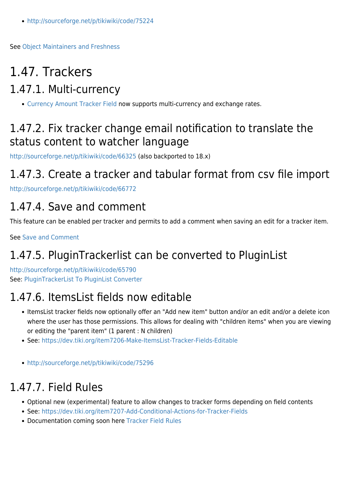<http://sourceforge.net/p/tikiwiki/code/75224>

See [Object Maintainers and Freshness](https://doc.tiki.org/Object-Maintainers-and-Freshness)

## 1.47. Trackers

#### 1.47.1. Multi-currency

[Currency Amount Tracker Field](https://doc.tiki.org/Currency-Amount-Tracker-Field) now supports multi-currency and exchange rates.

#### 1.47.2. Fix tracker change email notification to translate the status content to watcher language

<http://sourceforge.net/p/tikiwiki/code/66325> (also backported to 18.x)

#### 1.47.3. Create a tracker and tabular format from csv file import

<http://sourceforge.net/p/tikiwiki/code/66772>

#### 1.47.4. Save and comment

This feature can be enabled per tracker and permits to add a comment when saving an edit for a tracker item.

See [Save and Comment](https://doc.tiki.org/Save-and-Comment)

### 1.47.5. PluginTrackerlist can be converted to PluginList

<http://sourceforge.net/p/tikiwiki/code/65790> See: [PluginTrackerList To PluginList Converter](https://doc.tiki.org/PluginTrackerList-To-PluginList-Converter)

#### 1.47.6. ItemsList fields now editable

- ItemsList tracker fields now optionally offer an "Add new item" button and/or an edit and/or a delete icon where the user has those permissions. This allows for dealing with "children items" when you are viewing or editing the "parent item" (1 parent : N children)
- See:<https://dev.tiki.org/item7206-Make-ItemsList-Tracker-Fields-Editable>
- <http://sourceforge.net/p/tikiwiki/code/75296>

#### 1.47.7. Field Rules

- Optional new (experimental) feature to allow changes to tracker forms depending on field contents
- See:<https://dev.tiki.org/item7207-Add-Conditional-Actions-for-Tracker-Fields>
- Documentation coming soon here [Tracker Field Rules](https://doc.tiki.org/Tracker-Field-Rules)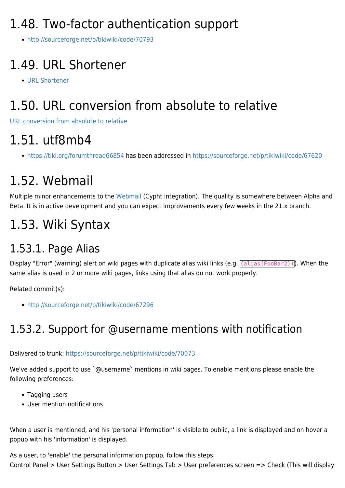## 1.48. Two-factor authentication support

<http://sourceforge.net/p/tikiwiki/code/70793>

## 1.49. URL Shortener

[URL Shortener](https://doc.tiki.org/URL-shortener)

## 1.50. URL conversion from absolute to relative

[URL conversion from absolute to relative](https://doc.tiki.org/URL-conversion-from-absolute-to-relative)

## 1.51. utf8mb4

<https://tiki.org/forumthread66854> has been addressed in <https://sourceforge.net/p/tikiwiki/code/67620>

## 1.52. Webmail

Multiple minor enhancements to the [Webmail](https://doc.tiki.org/Webmail) (Cypht integration). The quality is somewhere between Alpha and Beta. It is in active development and you can expect improvements every few weeks in the 21.x branch.

## 1.53. Wiki Syntax

#### 1.53.1. Page Alias

Display "Error" (warning) alert on wiki pages with duplicate alias wiki links (e.g. (alias(FooBar2)). When the same alias is used in 2 or more wiki pages, links using that alias do not work properly.

Related commit(s):

<http://sourceforge.net/p/tikiwiki/code/67296>

#### 1.53.2. Support for @username mentions with notification

Delivered to trunk: <https://sourceforge.net/p/tikiwiki/code/70073>

We've added support to use `@username` mentions in wiki pages. To enable mentions please enable the following preferences:

- Tagging users
- User mention notifications

When a user is mentioned, and his 'personal information' is visible to public, a link is displayed and on hover a popup with his 'information' is displayed.

As a user, to 'enable' the personal information popup, follow this steps: Control Panel > User Settings Button > User Settings Tab > User preferences screen => Check (This will display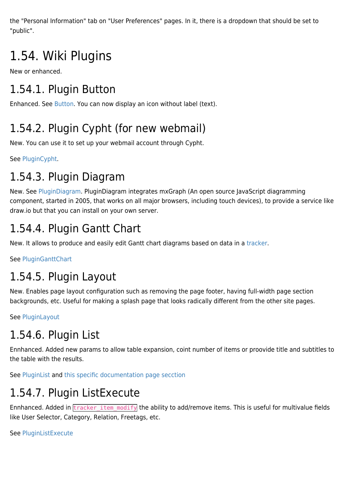the "Personal Information" tab on "User Preferences" pages. In it, there is a dropdown that should be set to "public".

## 1.54. Wiki Plugins

New or enhanced.

### 1.54.1. Plugin Button

Enhanced. See [Button](https://doc.tiki.org/PluginButton). You can now display an icon without label (text).

### 1.54.2. Plugin Cypht (for new webmail)

New. You can use it to set up your webmail account through Cypht.

See [PluginCypht](https://doc.tiki.org/PluginCypht).

#### 1.54.3. Plugin Diagram

New. See [PluginDiagram](https://doc.tiki.org/PluginDiagram). PluginDiagram integrates mxGraph (An open source JavaScript diagramming component, started in 2005, that works on all major browsers, including touch devices), to provide a service like draw.io but that you can install on your own server.

#### 1.54.4. Plugin Gantt Chart

New. It allows to produce and easily edit Gantt chart diagrams based on data in a [tracker](https://doc.tiki.org/tracker).

See [PluginGanttChart](https://doc.tiki.org/PluginGanttChart)

#### 1.54.5. Plugin Layout

New. Enables page layout configuration such as removing the page footer, having full-width page section backgrounds, etc. Useful for making a splash page that looks radically different from the other site pages.

See [PluginLayout](https://doc.tiki.org/PluginLayout)

### 1.54.6. Plugin List

Ennhanced. Added new params to allow table expansion, coint number of items or proovide title and subtitles to the table with the results.

See [PluginList](https://doc.tiki.org/PluginList) and [this specific documentation page secction](https://doc.tiki.org/PluginList-output-control-block#Table%5C:_expand_table_number_of_items_found_optional_title)

#### 1.54.7. Plugin ListExecute

Ennhanced. Added in **tracker** item modify the ability to add/remove items. This is useful for multivalue fields like User Selector, Category, Relation, Freetags, etc.

See [PluginListExecute](https://doc.tiki.org/PluginListExecute)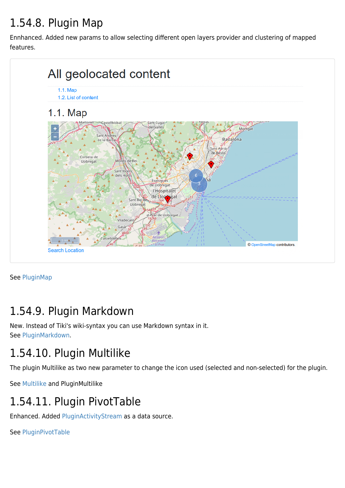### 1.54.8. Plugin Map

Ennhanced. Added new params to allow selecting different open layers provider and clustering of mapped features.



See [PluginMap](https://doc.tiki.org/PluginMap)

#### 1.54.9. Plugin Markdown

New. Instead of Tiki's wiki-syntax you can use [Markdown](https://doc.tiki.org/tiki-editpage.php?page=Markdown) syntax in it. See [PluginMarkdown](https://doc.tiki.org/PluginMarkdown).

#### 1.54.10. Plugin Multilike

The plugin Multilike as two new parameter to change the icon used (selected and non-selected) for the plugin.

See [Multilike](https://doc.tiki.org/Multilike) and [PluginMultilike](https://doc.tiki.org/tiki-editpage.php?page=PluginMultilike)

#### 1.54.11. Plugin PivotTable

Enhanced. Added [PluginActivityStream](https://doc.tiki.org/PluginActivityStream) as a data source.

See [PluginPivotTable](https://doc.tiki.org/PluginPivotTable)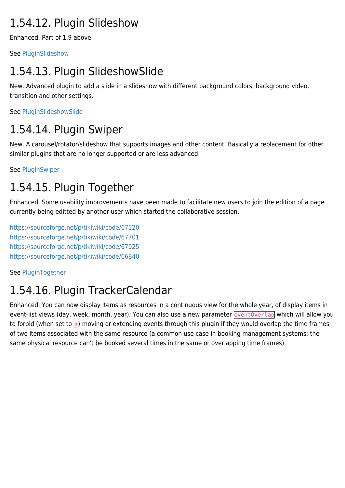#### 1.54.12. Plugin Slideshow

Enhanced. Part of 1.9 above.

See [PluginSlideshow](https://doc.tiki.org/PluginSlideshow)

### 1.54.13. Plugin SlideshowSlide

New. Advanced plugin to add a slide in a slideshow with different background colors, background video, transition and other settings.

See [PluginSlideshowSlide](https://doc.tiki.org/PluginSlideshowSlide)

#### 1.54.14. Plugin Swiper

New. A carousel/rotator/slideshow that supports images and other content. Basically a replacement for other similar plugins that are no longer supported or are less advanced.

See [PluginSwiper](https://doc.tiki.org/PluginSwiper)

#### 1.54.15. Plugin Together

Enhanced. Some usability improvements have been made to facilitate new users to join the edition of a page currently being editted by another user which started the collaborative session.

<https://sourceforge.net/p/tikiwiki/code/67120> <https://sourceforge.net/p/tikiwiki/code/67701> <https://sourceforge.net/p/tikiwiki/code/67025> <https://sourceforge.net/p/tikiwiki/code/66840>

See [PluginTogether](https://doc.tiki.org/PluginTogether)

#### 1.54.16. Plugin TrackerCalendar

Enhanced. You can now display items as resources in a continuous view for the whole year, of display items in event-list views (day, week, month, year). You can also use a new parameter eventOverlap which will allow you to forbid (when set to  $\overline{p}$ ) moving or extending events through this plugin if they would overlap the time frames of two items associated with the same resource (a common use case in booking management systems: the same physical resource can't be booked several times in the same or overlapping time frames).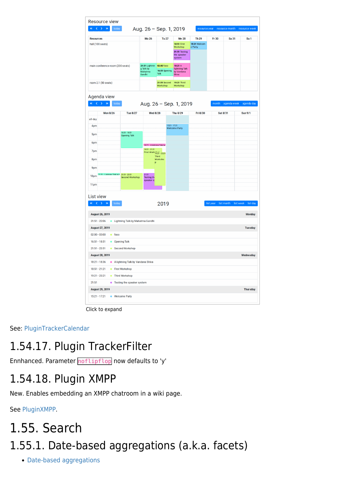|                                                    | <b>Resource view</b>                           |                                           |                                               |                          |                                   |                                |                              |             |                       |  |
|----------------------------------------------------|------------------------------------------------|-------------------------------------------|-----------------------------------------------|--------------------------|-----------------------------------|--------------------------------|------------------------------|-------------|-----------------------|--|
| $\alpha$                                           | $\langle \cdot \rangle$ $\rightarrow$<br>today |                                           | Aug. 26 - Sep. 1, 2019                        |                          |                                   |                                | resource year resource month |             | resource week         |  |
| <b>Resources</b>                                   |                                                |                                           | <b>Mo 26</b>                                  | <b>Tu 27</b>             | <b>We 28</b>                      | <b>Th 29</b>                   | Fr 30                        | Sa 31       | Su <sub>1</sub>       |  |
| hall (100 seats)                                   |                                                |                                           |                                               |                          | <b>18:51 First</b><br>Workshop    | <b>15:21 Welcom</b><br>e Party |                              |             |                       |  |
|                                                    |                                                |                                           |                                               |                          | 21:51 Testing                     |                                |                              |             |                       |  |
|                                                    |                                                |                                           |                                               |                          | the speaker<br>system             |                                |                              |             |                       |  |
|                                                    | main conference room (200 seats)               |                                           | 21:51 Lightnin 02:00 fooo                     |                          | 18:21 A                           |                                |                              |             |                       |  |
| room 2.1 (50 seats)                                |                                                |                                           | g Talk by<br>16:51 Opening<br>Mahatma<br>Talk |                          | lightning Talk<br>by Vandana      |                                |                              |             |                       |  |
|                                                    |                                                |                                           | Gandhi                                        |                          | Shiva                             |                                |                              |             |                       |  |
|                                                    |                                                |                                           |                                               | 21:51 Second<br>Workshop | 19:21 Third<br>Workshop           |                                |                              |             |                       |  |
|                                                    |                                                |                                           |                                               |                          |                                   |                                |                              |             |                       |  |
|                                                    | Agenda view                                    |                                           |                                               |                          |                                   |                                |                              |             |                       |  |
| $\ll$ $\langle$ $\langle$ $\rangle$ $\rangle$      | $\gg$<br>today                                 |                                           |                                               |                          | Aug. 26 - Sep. 1, 2019            |                                | month                        | agenda week | agenda day            |  |
|                                                    | <b>Mon 8/26</b>                                | <b>Tue 8/27</b>                           | <b>Wed 8/28</b>                               |                          | <b>Thu 8/29</b>                   | Fri 8/30                       | Sat 8/31                     |             | <b>Sun 9/1</b>        |  |
| all-day                                            |                                                |                                           |                                               |                          |                                   |                                |                              |             |                       |  |
| 4pm                                                |                                                |                                           |                                               |                          | 1521-1721<br><b>Welcome Party</b> |                                |                              |             |                       |  |
| 5pm                                                |                                                | $16:51 - 18:51$                           |                                               |                          |                                   |                                |                              |             |                       |  |
|                                                    |                                                | <b>Opening Talk</b>                       |                                               |                          |                                   |                                |                              |             |                       |  |
| 6pm                                                |                                                |                                           | 18:21 - A lightning Talk by                   |                          |                                   |                                |                              |             |                       |  |
| 7pm                                                |                                                |                                           | $18:51 - 21:21$<br>First Work 1921 - 2321     |                          |                                   |                                |                              |             |                       |  |
| 8pm                                                |                                                |                                           | p                                             | Third<br>Worksho         |                                   |                                |                              |             |                       |  |
| 9pm                                                |                                                |                                           |                                               |                          |                                   |                                |                              |             |                       |  |
| 10pm                                               | 21:51 - Lightning Talk by N 21:51 - 23:51      |                                           | 21:51                                         |                          |                                   |                                |                              |             |                       |  |
|                                                    |                                                | Second Workshop                           | Testing the<br>speaker sy                     |                          |                                   |                                |                              |             |                       |  |
| 11pm                                               |                                                |                                           |                                               |                          |                                   |                                |                              |             |                       |  |
|                                                    |                                                |                                           |                                               |                          |                                   |                                |                              |             |                       |  |
| List view<br>$\alpha$                              | $\langle \rangle$<br>$\rightarrow$<br>today    |                                           |                                               |                          |                                   |                                | list year                    |             | list week<br>list day |  |
|                                                    |                                                |                                           |                                               | 2019                     |                                   |                                |                              | list month  |                       |  |
|                                                    | <b>August 26, 2019</b>                         |                                           |                                               |                          |                                   |                                |                              |             | <b>Monday</b>         |  |
| $21:51 - 22:06$                                    |                                                | <b>.</b> Lightning Talk by Mahatma Gandhi |                                               |                          |                                   |                                |                              |             |                       |  |
|                                                    | <b>August 27, 2019</b>                         |                                           |                                               |                          |                                   |                                |                              |             | <b>Tuesday</b>        |  |
| $02:00 - 03:00$                                    | $\bullet$ fooo                                 |                                           |                                               |                          |                                   |                                |                              |             |                       |  |
| $16:51 - 18:51$                                    |                                                | • Opening Talk                            |                                               |                          |                                   |                                |                              |             |                       |  |
| $21:51 - 23:51$                                    |                                                | • Second Workshop                         |                                               |                          |                                   |                                |                              |             |                       |  |
|                                                    | <b>August 28, 2019</b>                         |                                           |                                               |                          |                                   |                                |                              |             | Wednesday             |  |
| 18:21 - 18:36<br>A lightning Talk by Vandana Shiva |                                                |                                           |                                               |                          |                                   |                                |                              |             |                       |  |
| $18:51 - 21:21$                                    |                                                | • First Workshop                          |                                               |                          |                                   |                                |                              |             |                       |  |
|                                                    | 19:21 - 23:21                                  | • Third Workshop                          |                                               |                          |                                   |                                |                              |             |                       |  |
|                                                    |                                                | • Testing the speaker system              |                                               |                          |                                   |                                |                              |             |                       |  |
| 21:51                                              |                                                |                                           |                                               |                          |                                   |                                |                              |             |                       |  |
|                                                    | <b>August 29, 2019</b>                         |                                           |                                               |                          |                                   |                                |                              |             | <b>Thursday</b>       |  |

Click to expand

#### See: [PluginTrackerCalendar](https://doc.tiki.org/PluginTrackerCalendar)

#### 1.54.17. Plugin TrackerFilter

Ennhanced. Parameter noflipflop now defaults to 'y'

#### 1.54.18. Plugin XMPP

New. Enables embedding an XMPP chatroom in a wiki page.

See [PluginXMPP](https://doc.tiki.org/PluginXMPP).

## 1.55. Search 1.55.1. Date-based aggregations (a.k.a. facets)

[Date-based aggregations](https://doc.tiki.org/Date-based-aggregations)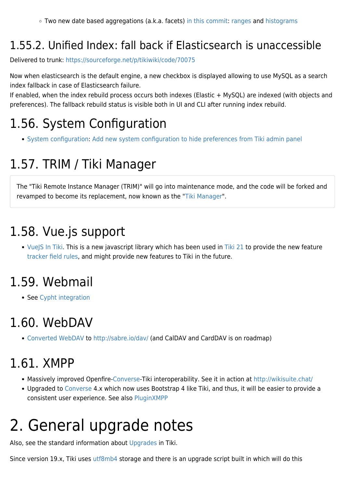Two new date based aggregations (a.k.a. facets) [in this commit](http://sourceforge.net/p/tikiwiki/code/68499): [ranges](https://www.elastic.co/guide/en/elasticsearch/reference/current/search-aggregations-bucket-daterange-aggregation.html) and [histograms](https://www.elastic.co/guide/en/elasticsearch/reference/current/search-aggregations-bucket-datehistogram-aggregation.html)

### 1.55.2. Unified Index: fall back if Elasticsearch is unaccessible

Delivered to trunk: <https://sourceforge.net/p/tikiwiki/code/70075>

Now when elasticsearch is the default engine, a new checkbox is displayed allowing to use MySQL as a search index fallback in case of Elasticsearch failure.

If enabled, when the index rebuild process occurs both indexes (Elastic + MySQL) are indexed (with objects and preferences). The fallback rebuild status is visible both in UI and CLI after running index rebuild.

## 1.56. System Configuration

• [System configuration:](https://doc.tiki.org/System-Configuration) [Add new system configuration to hide preferences from Tiki admin panel](https://sourceforge.net/p/tikiwiki/code/69625)

## 1.57. TRIM / Tiki Manager

The "Tiki Remote Instance Manager (TRIM)" will go into maintenance mode, and the code will be forked and revamped to become its replacement, now known as the "[Tiki Manager](https://doc.tiki.org/Manager)".

## 1.58. Vue.js support

• [VueJS In Tiki](http://dev.tiki.org/VueJS%20In%20Tiki). This is a new javascript library which has been used in [Tiki 21](https://doc.tiki.org/Tiki%2021) to provide the new feature [tracker field rules](https://doc.tiki.org/Tracker-Field-Rules), and might provide new features to Tiki in the future.

## 1.59. Webmail

• See [Cypht integration](http://dev.tiki.org/Cypht%20integration)

## 1.60. WebDAV

[Converted WebDAV](https://sourceforge.net/p/tikiwiki/code/68304) to<http://sabre.io/dav/> (and CalDAV and CardDAV is on roadmap)

## 1.61. XMPP

- Massively improved Openfire[-Converse-](https://doc.tiki.org/Converse)Tiki interoperability. See it in action at <http://wikisuite.chat/>
- Upgraded to [Converse](https://doc.tiki.org/Converse) 4.x which now uses Bootstrap 4 like Tiki, and thus, it will be easier to provide a consistent user experience. See also [PluginXMPP](https://doc.tiki.org/PluginXMPP)

## 2. General upgrade notes

Also, see the standard information about [Upgrades](https://doc.tiki.org/Upgrade) in Tiki.

Since version 19.x, Tiki uses [utf8mb4](#page--1-0) storage and there is an upgrade script built in which will do this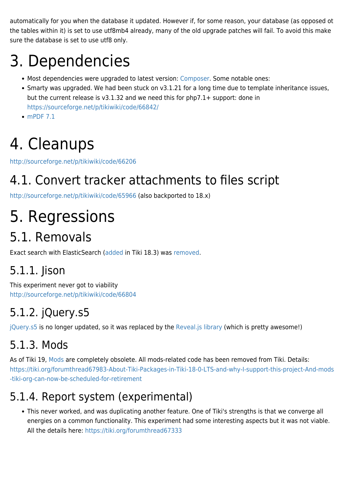automatically for you when the database it updated. However if, for some reason, your database (as opposed ot the tables within it) is set to use utf8mb4 already, many of the old upgrade patches will fail. To avoid this make sure the database is set to use utf8 only.

# 3. Dependencies

- Most dependencies were upgraded to latest version: [Composer](https://doc.tiki.org/Composer). Some notable ones:
- Smarty was upgraded. We had been stuck on v3.1.21 for a long time due to template inheritance issues, but the current release is v3.1.32 and we need this for php7.1+ support: done in <https://sourceforge.net/p/tikiwiki/code/66842/>
- [mPDF 7.1](https://github.com/mpdf/mpdf/releases/tag/v7.1.0)

# 4. Cleanups

<http://sourceforge.net/p/tikiwiki/code/66206>

## 4.1. Convert tracker attachments to files script

<http://sourceforge.net/p/tikiwiki/code/65966> (also backported to 18.x)

# 5. Regressions

## 5.1. Removals

Exact search with ElasticSearch ([added](https://sourceforge.net/p/tikiwiki/code/68378) in Tiki 18.3) was [removed.](https://sourceforge.net/p/tikiwiki/code/68599)

### 5.1.1. Jison

This experiment never got to viability <http://sourceforge.net/p/tikiwiki/code/66804>

## 5.1.2. jQuery.s5

[jQuery.s5](https://github.com/robertleeplummerjr/jQuery.s5) is no longer updated, so it was replaced by the [Reveal.js library](http://sourceforge.net/p/tikiwiki/code/66805) (which is pretty awesome!)

### 5.1.3. Mods

As of Tiki 19, [Mods](https://doc.tiki.org/Mods) are completely obsolete. All mods-related code has been removed from Tiki. Details: [https://tiki.org/forumthread67983-About-Tiki-Packages-in-Tiki-18-0-LTS-and-why-I-support-this-project-And-mods](https://tiki.org/forumthread67983-About-Tiki-Packages-in-Tiki-18-0-LTS-and-why-I-support-this-project-And-mods-tiki-org-can-now-be-scheduled-for-retirement) [-tiki-org-can-now-be-scheduled-for-retirement](https://tiki.org/forumthread67983-About-Tiki-Packages-in-Tiki-18-0-LTS-and-why-I-support-this-project-And-mods-tiki-org-can-now-be-scheduled-for-retirement)

## 5.1.4. Report system (experimental)

This never worked, and was duplicating another feature. One of Tiki's strengths is that we converge all energies on a common functionality. This experiment had some interesting aspects but it was not viable. All the details here:<https://tiki.org/forumthread67333>